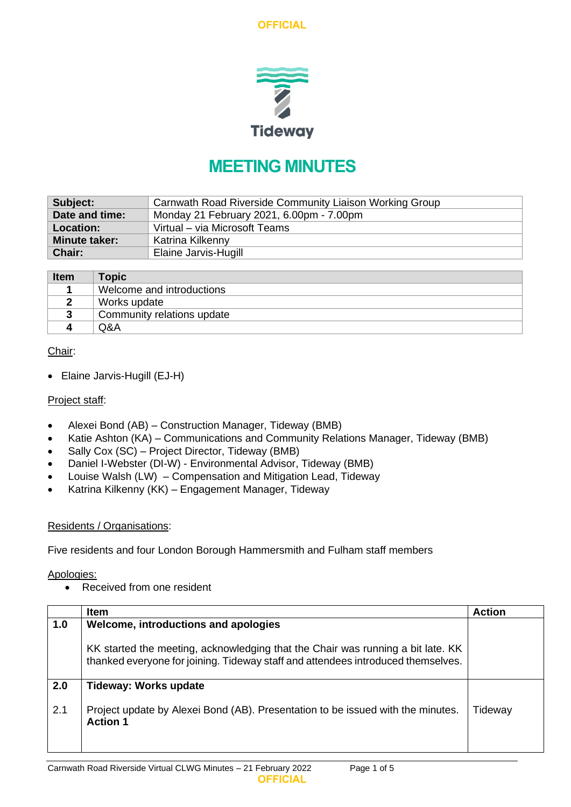**OFFICIAL**



# **MEETING MINUTES**

| Subject:                                                   | Carnwath Road Riverside Community Liaison Working Group |  |  |
|------------------------------------------------------------|---------------------------------------------------------|--|--|
| Date and time:<br>Monday 21 February 2021, 6.00pm - 7.00pm |                                                         |  |  |
| <b>Location:</b>                                           | Virtual - via Microsoft Teams                           |  |  |
| <b>Minute taker:</b>                                       | Katrina Kilkenny                                        |  |  |
| Chair:                                                     | Elaine Jarvis-Hugill                                    |  |  |

| Item | <b>Topic</b>               |
|------|----------------------------|
|      | Welcome and introductions  |
|      | Works update               |
|      | Community relations update |
|      | Q&A                        |

## Chair:

• Elaine Jarvis-Hugill (EJ-H)

#### Project staff:

- Alexei Bond (AB) Construction Manager, Tideway (BMB)
- Katie Ashton (KA) Communications and Community Relations Manager, Tideway (BMB)
- Sally Cox (SC) Project Director, Tideway (BMB)
- Daniel I-Webster (DI-W) Environmental Advisor, Tideway (BMB)
- Louise Walsh (LW) Compensation and Mitigation Lead, Tideway
- Katrina Kilkenny (KK) Engagement Manager, Tideway

#### Residents / Organisations:

Five residents and four London Borough Hammersmith and Fulham staff members

Apologies:

• Received from one resident

|     | <b>Item</b>                                                                                                                                                         | <b>Action</b>  |
|-----|---------------------------------------------------------------------------------------------------------------------------------------------------------------------|----------------|
| 1.0 | Welcome, introductions and apologies                                                                                                                                |                |
|     | KK started the meeting, acknowledging that the Chair was running a bit late. KK<br>thanked everyone for joining. Tideway staff and attendees introduced themselves. |                |
| 2.0 | <b>Tideway: Works update</b>                                                                                                                                        |                |
| 2.1 | Project update by Alexei Bond (AB). Presentation to be issued with the minutes.<br><b>Action 1</b>                                                                  | <b>Fideway</b> |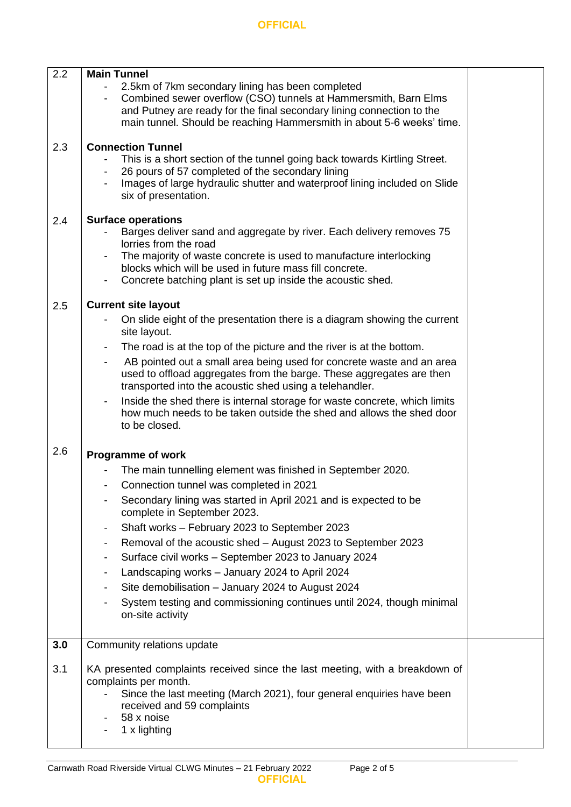| 2.2 | <b>Main Tunnel</b><br>2.5km of 7km secondary lining has been completed<br>Combined sewer overflow (CSO) tunnels at Hammersmith, Barn Elms<br>and Putney are ready for the final secondary lining connection to the<br>main tunnel. Should be reaching Hammersmith in about 5-6 weeks' time.                                                                                                                                                                                                                                                                                                                                                                                        |  |
|-----|------------------------------------------------------------------------------------------------------------------------------------------------------------------------------------------------------------------------------------------------------------------------------------------------------------------------------------------------------------------------------------------------------------------------------------------------------------------------------------------------------------------------------------------------------------------------------------------------------------------------------------------------------------------------------------|--|
| 2.3 | <b>Connection Tunnel</b><br>This is a short section of the tunnel going back towards Kirtling Street.<br>26 pours of 57 completed of the secondary lining<br>Images of large hydraulic shutter and waterproof lining included on Slide<br>six of presentation.                                                                                                                                                                                                                                                                                                                                                                                                                     |  |
| 2.4 | <b>Surface operations</b><br>Barges deliver sand and aggregate by river. Each delivery removes 75<br>lorries from the road<br>The majority of waste concrete is used to manufacture interlocking<br>blocks which will be used in future mass fill concrete.<br>Concrete batching plant is set up inside the acoustic shed.                                                                                                                                                                                                                                                                                                                                                         |  |
| 2.5 | <b>Current site layout</b><br>On slide eight of the presentation there is a diagram showing the current<br>site layout.<br>The road is at the top of the picture and the river is at the bottom.<br>$\overline{\phantom{a}}$<br>AB pointed out a small area being used for concrete waste and an area<br>used to offload aggregates from the barge. These aggregates are then<br>transported into the acoustic shed using a telehandler.<br>Inside the shed there is internal storage for waste concrete, which limits<br>how much needs to be taken outside the shed and allows the shed door<br>to be closed.                                                                    |  |
| 2.6 | <b>Programme of work</b><br>The main tunnelling element was finished in September 2020.<br>Connection tunnel was completed in 2021<br>Secondary lining was started in April 2021 and is expected to be<br>complete in September 2023.<br>Shaft works - February 2023 to September 2023<br>$\overline{\phantom{a}}$<br>Removal of the acoustic shed - August 2023 to September 2023<br>$\blacksquare$<br>Surface civil works - September 2023 to January 2024<br>$\blacksquare$<br>Landscaping works - January 2024 to April 2024<br>Site demobilisation - January 2024 to August 2024<br>System testing and commissioning continues until 2024, though minimal<br>on-site activity |  |
| 3.0 | Community relations update                                                                                                                                                                                                                                                                                                                                                                                                                                                                                                                                                                                                                                                         |  |
| 3.1 | KA presented complaints received since the last meeting, with a breakdown of<br>complaints per month.<br>Since the last meeting (March 2021), four general enquiries have been<br>received and 59 complaints<br>58 x noise<br>1 x lighting                                                                                                                                                                                                                                                                                                                                                                                                                                         |  |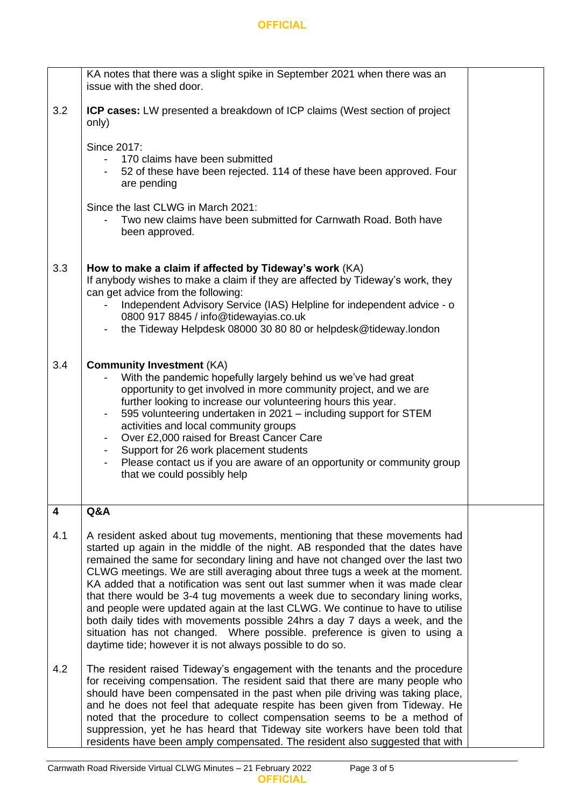### **OFFICIAL**

|     | KA notes that there was a slight spike in September 2021 when there was an<br>issue with the shed door.                                                                                                                                                                                                                                                                                                                                                                                                                                                                                                                                                                                                                                                                                               |  |  |  |
|-----|-------------------------------------------------------------------------------------------------------------------------------------------------------------------------------------------------------------------------------------------------------------------------------------------------------------------------------------------------------------------------------------------------------------------------------------------------------------------------------------------------------------------------------------------------------------------------------------------------------------------------------------------------------------------------------------------------------------------------------------------------------------------------------------------------------|--|--|--|
| 3.2 | <b>ICP cases:</b> LW presented a breakdown of ICP claims (West section of project<br>only)                                                                                                                                                                                                                                                                                                                                                                                                                                                                                                                                                                                                                                                                                                            |  |  |  |
|     | Since 2017:<br>170 claims have been submitted<br>52 of these have been rejected. 114 of these have been approved. Four<br>are pending                                                                                                                                                                                                                                                                                                                                                                                                                                                                                                                                                                                                                                                                 |  |  |  |
|     | Since the last CLWG in March 2021:<br>Two new claims have been submitted for Carnwath Road. Both have<br>been approved.                                                                                                                                                                                                                                                                                                                                                                                                                                                                                                                                                                                                                                                                               |  |  |  |
| 3.3 | How to make a claim if affected by Tideway's work (KA)<br>If anybody wishes to make a claim if they are affected by Tideway's work, they<br>can get advice from the following:<br>Independent Advisory Service (IAS) Helpline for independent advice - o<br>0800 917 8845 / info@tidewayias.co.uk<br>the Tideway Helpdesk 08000 30 80 80 or helpdesk@tideway.london                                                                                                                                                                                                                                                                                                                                                                                                                                   |  |  |  |
|     |                                                                                                                                                                                                                                                                                                                                                                                                                                                                                                                                                                                                                                                                                                                                                                                                       |  |  |  |
| 3.4 | <b>Community Investment (KA)</b><br>With the pandemic hopefully largely behind us we've had great<br>opportunity to get involved in more community project, and we are<br>further looking to increase our volunteering hours this year.<br>595 volunteering undertaken in 2021 - including support for STEM<br>activities and local community groups<br>Over £2,000 raised for Breast Cancer Care<br>Support for 26 work placement students<br>Please contact us if you are aware of an opportunity or community group<br>that we could possibly help                                                                                                                                                                                                                                                 |  |  |  |
| 4   | Q&A                                                                                                                                                                                                                                                                                                                                                                                                                                                                                                                                                                                                                                                                                                                                                                                                   |  |  |  |
| 4.1 | A resident asked about tug movements, mentioning that these movements had<br>started up again in the middle of the night. AB responded that the dates have<br>remained the same for secondary lining and have not changed over the last two<br>CLWG meetings. We are still averaging about three tugs a week at the moment.<br>KA added that a notification was sent out last summer when it was made clear<br>that there would be 3-4 tug movements a week due to secondary lining works,<br>and people were updated again at the last CLWG. We continue to have to utilise<br>both daily tides with movements possible 24hrs a day 7 days a week, and the<br>situation has not changed. Where possible. preference is given to using a<br>daytime tide; however it is not always possible to do so. |  |  |  |
| 4.2 | The resident raised Tideway's engagement with the tenants and the procedure<br>for receiving compensation. The resident said that there are many people who<br>should have been compensated in the past when pile driving was taking place,<br>and he does not feel that adequate respite has been given from Tideway. He<br>noted that the procedure to collect compensation seems to be a method of<br>suppression, yet he has heard that Tideway site workers have been told that<br>residents have been amply compensated. The resident also suggested that with                                                                                                                                                                                                                                  |  |  |  |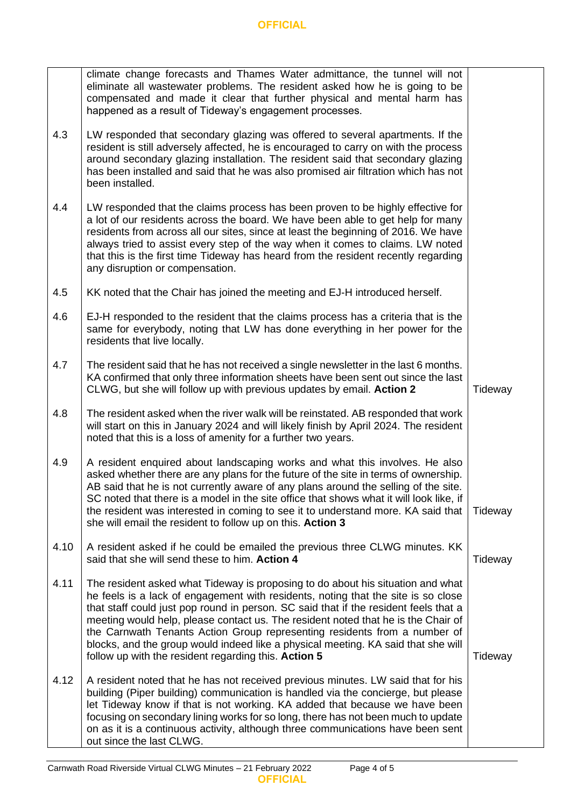|      | climate change forecasts and Thames Water admittance, the tunnel will not<br>eliminate all wastewater problems. The resident asked how he is going to be<br>compensated and made it clear that further physical and mental harm has<br>happened as a result of Tideway's engagement processes.                                                                                                                                                                                                                                                                              |         |
|------|-----------------------------------------------------------------------------------------------------------------------------------------------------------------------------------------------------------------------------------------------------------------------------------------------------------------------------------------------------------------------------------------------------------------------------------------------------------------------------------------------------------------------------------------------------------------------------|---------|
| 4.3  | LW responded that secondary glazing was offered to several apartments. If the<br>resident is still adversely affected, he is encouraged to carry on with the process<br>around secondary glazing installation. The resident said that secondary glazing<br>has been installed and said that he was also promised air filtration which has not<br>been installed.                                                                                                                                                                                                            |         |
| 4.4  | LW responded that the claims process has been proven to be highly effective for<br>a lot of our residents across the board. We have been able to get help for many<br>residents from across all our sites, since at least the beginning of 2016. We have<br>always tried to assist every step of the way when it comes to claims. LW noted<br>that this is the first time Tideway has heard from the resident recently regarding<br>any disruption or compensation.                                                                                                         |         |
| 4.5  | KK noted that the Chair has joined the meeting and EJ-H introduced herself.                                                                                                                                                                                                                                                                                                                                                                                                                                                                                                 |         |
| 4.6  | EJ-H responded to the resident that the claims process has a criteria that is the<br>same for everybody, noting that LW has done everything in her power for the<br>residents that live locally.                                                                                                                                                                                                                                                                                                                                                                            |         |
| 4.7  | The resident said that he has not received a single newsletter in the last 6 months.<br>KA confirmed that only three information sheets have been sent out since the last<br>CLWG, but she will follow up with previous updates by email. Action 2                                                                                                                                                                                                                                                                                                                          | Tideway |
| 4.8  | The resident asked when the river walk will be reinstated. AB responded that work<br>will start on this in January 2024 and will likely finish by April 2024. The resident<br>noted that this is a loss of amenity for a further two years.                                                                                                                                                                                                                                                                                                                                 |         |
| 4.9  | A resident enquired about landscaping works and what this involves. He also<br>asked whether there are any plans for the future of the site in terms of ownership.<br>AB said that he is not currently aware of any plans around the selling of the site.<br>SC noted that there is a model in the site office that shows what it will look like, if<br>the resident was interested in coming to see it to understand more. KA said that<br>she will email the resident to follow up on this. Action 3                                                                      | Tideway |
| 4.10 | A resident asked if he could be emailed the previous three CLWG minutes. KK<br>said that she will send these to him. Action 4                                                                                                                                                                                                                                                                                                                                                                                                                                               | Tideway |
| 4.11 | The resident asked what Tideway is proposing to do about his situation and what<br>he feels is a lack of engagement with residents, noting that the site is so close<br>that staff could just pop round in person. SC said that if the resident feels that a<br>meeting would help, please contact us. The resident noted that he is the Chair of<br>the Carnwath Tenants Action Group representing residents from a number of<br>blocks, and the group would indeed like a physical meeting. KA said that she will<br>follow up with the resident regarding this. Action 5 | Tideway |
| 4.12 | A resident noted that he has not received previous minutes. LW said that for his<br>building (Piper building) communication is handled via the concierge, but please<br>let Tideway know if that is not working. KA added that because we have been<br>focusing on secondary lining works for so long, there has not been much to update<br>on as it is a continuous activity, although three communications have been sent<br>out since the last CLWG.                                                                                                                     |         |